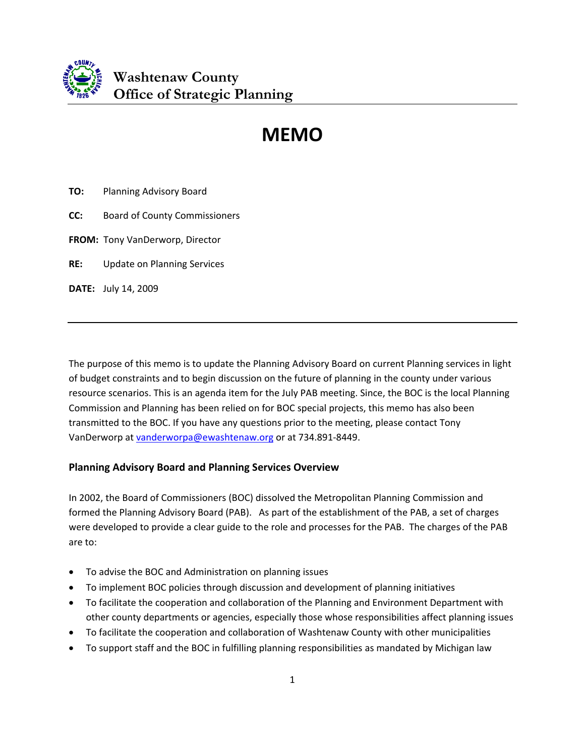

# **MEMO**

**TO:** Planning Advisory Board

- **CC:** Board of County Commissioners
- **FROM:** Tony VanDerworp, Director

**RE:**  Update on Planning Services

**DATE:** July 14, 2009

The purpose of this memo is to update the Planning Advisory Board on current Planning services in light of budget constraints and to begin discussion on the future of planning in the county under various resource scenarios. This is an agenda item for the July PAB meeting. Since, the BOC is the local Planning Commission and Planning has been relied on for BOC special projects, this memo has also been transmitted to the BOC. If you have any questions prior to the meeting, please contact Tony VanDerworp at [vanderworpa@ewashtenaw.org](mailto:vanderworpa@ewashtenaw.org) or at 734.891‐8449.

## **Planning Advisory Board and Planning Services Overview**

In 2002, the Board of Commissioners (BOC) dissolved the Metropolitan Planning Commission and formed the Planning Advisory Board (PAB). As part of the establishment of the PAB, a set of charges were developed to provide a clear guide to the role and processes for the PAB. The charges of the PAB are to:

- To advise the BOC and Administration on planning issues
- To implement BOC policies through discussion and development of planning initiatives
- To facilitate the cooperation and collaboration of the Planning and Environment Department with other county departments or agencies, especially those whose responsibilities affect planning issues
- To facilitate the cooperation and collaboration of Washtenaw County with other municipalities
- To support staff and the BOC in fulfilling planning responsibilities as mandated by Michigan law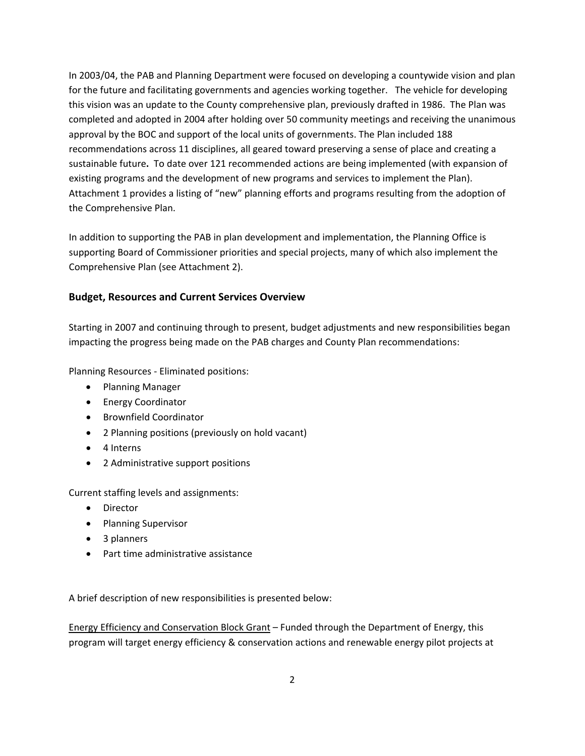In 2003/04, the PAB and Planning Department were focused on developing a countywide vision and plan for the future and facilitating governments and agencies working together. The vehicle for developing this vision was an update to the County comprehensive plan, previously drafted in 1986. The Plan was completed and adopted in 2004 after holding over 50 community meetings and receiving the unanimous approval by the BOC and support of the local units of governments. The Plan included 188 recommendations across 11 disciplines, all geared toward preserving a sense of place and creating a sustainable future**.** To date over 121 recommended actions are being implemented (with expansion of existing programs and the development of new programs and services to implement the Plan). Attachment 1 provides a listing of "new" planning efforts and programs resulting from the adoption of the Comprehensive Plan.

In addition to supporting the PAB in plan development and implementation, the Planning Office is supporting Board of Commissioner priorities and special projects, many of which also implement the Comprehensive Plan (see Attachment 2).

### **Budget, Resources and Current Services Overview**

Starting in 2007 and continuing through to present, budget adjustments and new responsibilities began impacting the progress being made on the PAB charges and County Plan recommendations:

Planning Resources ‐ Eliminated positions:

- Planning Manager
- Energy Coordinator
- Brownfield Coordinator
- 2 Planning positions (previously on hold vacant)
- 4 Interns
- 2 Administrative support positions

Current staffing levels and assignments:

- Director
- Planning Supervisor
- 3 planners
- Part time administrative assistance

A brief description of new responsibilities is presented below:

Energy Efficiency and Conservation Block Grant – Funded through the Department of Energy, this program will target energy efficiency & conservation actions and renewable energy pilot projects at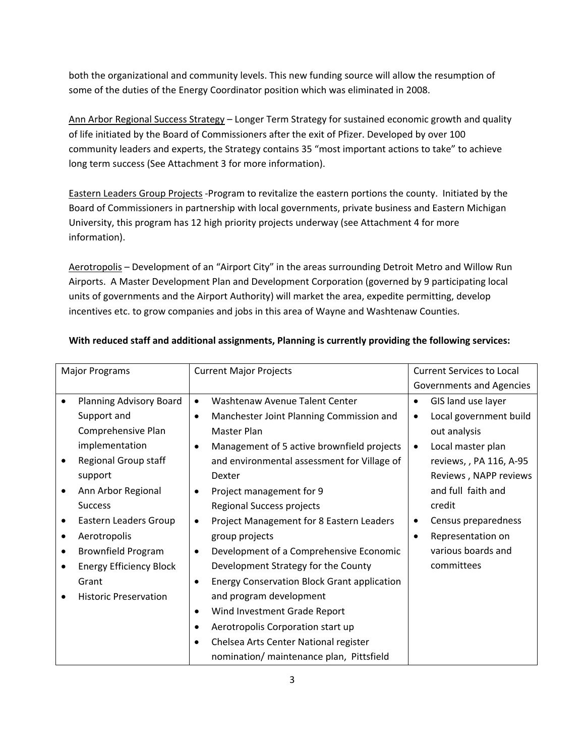both the organizational and community levels. This new funding source will allow the resumption of some of the duties of the Energy Coordinator position which was eliminated in 2008.

Ann Arbor Regional Success Strategy – Longer Term Strategy for sustained economic growth and quality of life initiated by the Board of Commissioners after the exit of Pfizer. Developed by over 100 community leaders and experts, the Strategy contains 35 "most important actions to take" to achieve long term success (See Attachment 3 for more information).

Eastern Leaders Group Projects ‐Program to revitalize the eastern portions the county. Initiated by the Board of Commissioners in partnership with local governments, private business and Eastern Michigan University, this program has 12 high priority projects underway (see Attachment 4 for more information).

Aerotropolis – Development of an "Airport City" in the areas surrounding Detroit Metro and Willow Run Airports. A Master Development Plan and Development Corporation (governed by 9 participating local units of governments and the Airport Authority) will market the area, expedite permitting, develop incentives etc. to grow companies and jobs in this area of Wayne and Washtenaw Counties.

| <b>Major Programs</b> |                                | <b>Current Major Projects</b> |                                                    | <b>Current Services to Local</b> |                          |  |
|-----------------------|--------------------------------|-------------------------------|----------------------------------------------------|----------------------------------|--------------------------|--|
|                       |                                |                               |                                                    |                                  | Governments and Agencies |  |
|                       | Planning Advisory Board        | $\bullet$                     | Washtenaw Avenue Talent Center                     | $\bullet$                        | GIS land use layer       |  |
|                       | Support and                    | $\bullet$                     | Manchester Joint Planning Commission and           | $\bullet$                        | Local government build   |  |
|                       | Comprehensive Plan             |                               | Master Plan                                        |                                  | out analysis             |  |
|                       | implementation                 | $\bullet$                     | Management of 5 active brownfield projects         | $\bullet$                        | Local master plan        |  |
|                       | Regional Group staff           |                               | and environmental assessment for Village of        |                                  | reviews, , PA 116, A-95  |  |
|                       | support                        |                               | Dexter                                             |                                  | Reviews, NAPP reviews    |  |
|                       | Ann Arbor Regional             | $\bullet$                     | Project management for 9                           |                                  | and full faith and       |  |
|                       | <b>Success</b>                 |                               | Regional Success projects                          |                                  | credit                   |  |
|                       | Eastern Leaders Group          | $\bullet$                     | Project Management for 8 Eastern Leaders           | ٠                                | Census preparedness      |  |
|                       | Aerotropolis                   |                               | group projects                                     | $\bullet$                        | Representation on        |  |
|                       | <b>Brownfield Program</b>      | $\bullet$                     | Development of a Comprehensive Economic            |                                  | various boards and       |  |
|                       | <b>Energy Efficiency Block</b> |                               | Development Strategy for the County                |                                  | committees               |  |
|                       | Grant                          | $\bullet$                     | <b>Energy Conservation Block Grant application</b> |                                  |                          |  |
|                       | <b>Historic Preservation</b>   |                               | and program development                            |                                  |                          |  |
|                       |                                | $\bullet$                     | Wind Investment Grade Report                       |                                  |                          |  |
|                       |                                | $\bullet$                     | Aerotropolis Corporation start up                  |                                  |                          |  |
|                       |                                | ٠                             | Chelsea Arts Center National register              |                                  |                          |  |
|                       |                                |                               | nomination/ maintenance plan, Pittsfield           |                                  |                          |  |
|                       |                                |                               |                                                    |                                  |                          |  |

# **With reduced staff and additional assignments, Planning is currently providing the following services:**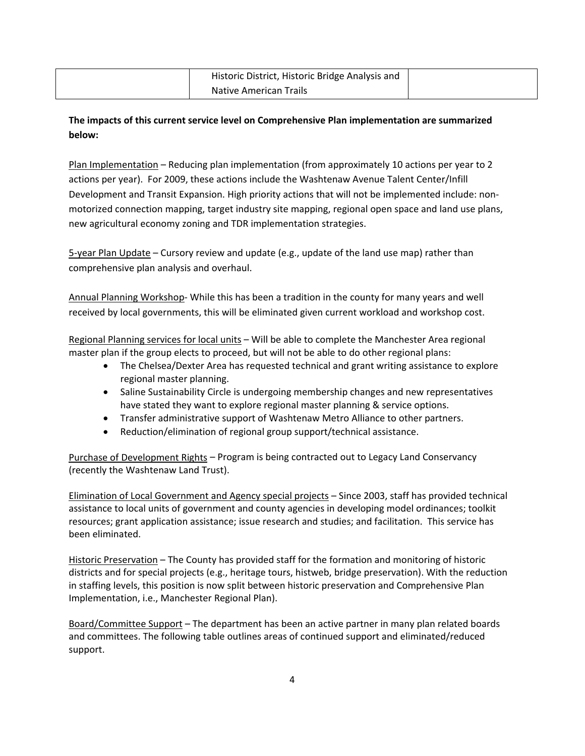| Historic District, Historic Bridge Analysis and |  |
|-------------------------------------------------|--|
| <b>Native American Trails</b>                   |  |

# **The impacts of this current service level on Comprehensive Plan implementation are summarized below:**

Plan Implementation – Reducing plan implementation (from approximately 10 actions per year to 2 actions per year). For 2009, these actions include the Washtenaw Avenue Talent Center/Infill Development and Transit Expansion. High priority actions that will not be implemented include: non‐ motorized connection mapping, target industry site mapping, regional open space and land use plans, new agricultural economy zoning and TDR implementation strategies.

5‐year Plan Update – Cursory review and update (e.g., update of the land use map) rather than comprehensive plan analysis and overhaul.

Annual Planning Workshop‐ While this has been a tradition in the county for many years and well received by local governments, this will be eliminated given current workload and workshop cost.

Regional Planning services for local units – Will be able to complete the Manchester Area regional master plan if the group elects to proceed, but will not be able to do other regional plans:

- The Chelsea/Dexter Area has requested technical and grant writing assistance to explore regional master planning.
- Saline Sustainability Circle is undergoing membership changes and new representatives have stated they want to explore regional master planning & service options.
- Transfer administrative support of Washtenaw Metro Alliance to other partners.
- Reduction/elimination of regional group support/technical assistance.

Purchase of Development Rights – Program is being contracted out to Legacy Land Conservancy (recently the Washtenaw Land Trust).

Elimination of Local Government and Agency special projects – Since 2003, staff has provided technical assistance to local units of government and county agencies in developing model ordinances; toolkit resources; grant application assistance; issue research and studies; and facilitation. This service has been eliminated.

Historic Preservation – The County has provided staff for the formation and monitoring of historic districts and for special projects (e.g., heritage tours, histweb, bridge preservation). With the reduction in staffing levels, this position is now split between historic preservation and Comprehensive Plan Implementation, i.e., Manchester Regional Plan).

Board/Committee Support – The department has been an active partner in many plan related boards and committees. The following table outlines areas of continued support and eliminated/reduced support.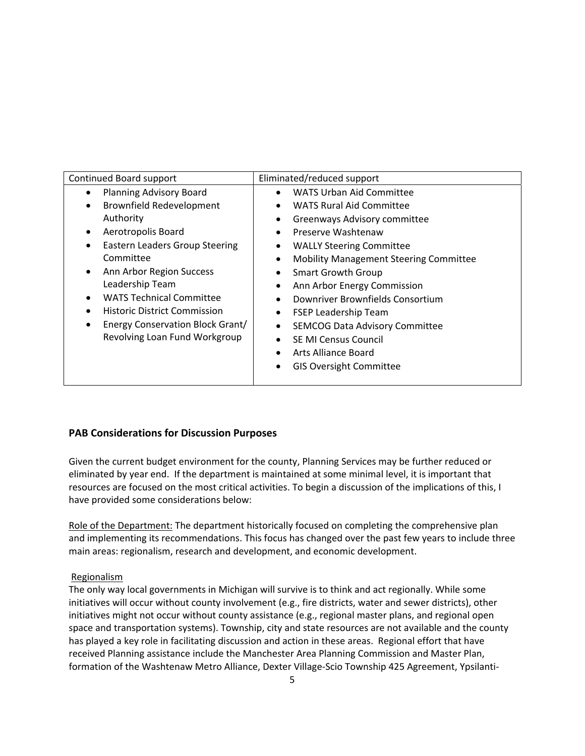| Planning Advisory Board<br><b>WATS Urban Aid Committee</b>                                                                                                                                                                                                                                                                                                                                                                                                                                                                                                                                                                                                                                                                 | Continued Board support                      | Eliminated/reduced support      |  |  |
|----------------------------------------------------------------------------------------------------------------------------------------------------------------------------------------------------------------------------------------------------------------------------------------------------------------------------------------------------------------------------------------------------------------------------------------------------------------------------------------------------------------------------------------------------------------------------------------------------------------------------------------------------------------------------------------------------------------------------|----------------------------------------------|---------------------------------|--|--|
| Authority<br>Greenways Advisory committee<br>Aerotropolis Board<br>Preserve Washtenaw<br>$\bullet$<br><b>Eastern Leaders Group Steering</b><br><b>WALLY Steering Committee</b><br>$\bullet$<br>Committee<br><b>Mobility Management Steering Committee</b><br>Ann Arbor Region Success<br><b>Smart Growth Group</b><br>٠<br>Leadership Team<br>Ann Arbor Energy Commission<br><b>WATS Technical Committee</b><br>Downriver Brownfields Consortium<br><b>Historic District Commission</b><br><b>FSEP Leadership Team</b><br>Energy Conservation Block Grant/<br>٠<br><b>SEMCOG Data Advisory Committee</b><br>Revolving Loan Fund Workgroup<br>SE MI Census Council<br>Arts Alliance Board<br><b>GIS Oversight Committee</b> | <b>Brownfield Redevelopment</b><br>$\bullet$ | <b>WATS Rural Aid Committee</b> |  |  |

## **PAB Considerations for Discussion Purposes**

Given the current budget environment for the county, Planning Services may be further reduced or eliminated by year end. If the department is maintained at some minimal level, it is important that resources are focused on the most critical activities. To begin a discussion of the implications of this, I have provided some considerations below:

Role of the Department: The department historically focused on completing the comprehensive plan and implementing its recommendations. This focus has changed over the past few years to include three main areas: regionalism, research and development, and economic development.

#### Regionalism

The only way local governments in Michigan will survive is to think and act regionally. While some initiatives will occur without county involvement (e.g., fire districts, water and sewer districts), other initiatives might not occur without county assistance (e.g., regional master plans, and regional open space and transportation systems). Township, city and state resources are not available and the county has played a key role in facilitating discussion and action in these areas. Regional effort that have received Planning assistance include the Manchester Area Planning Commission and Master Plan, formation of the Washtenaw Metro Alliance, Dexter Village‐Scio Township 425 Agreement, Ypsilanti‐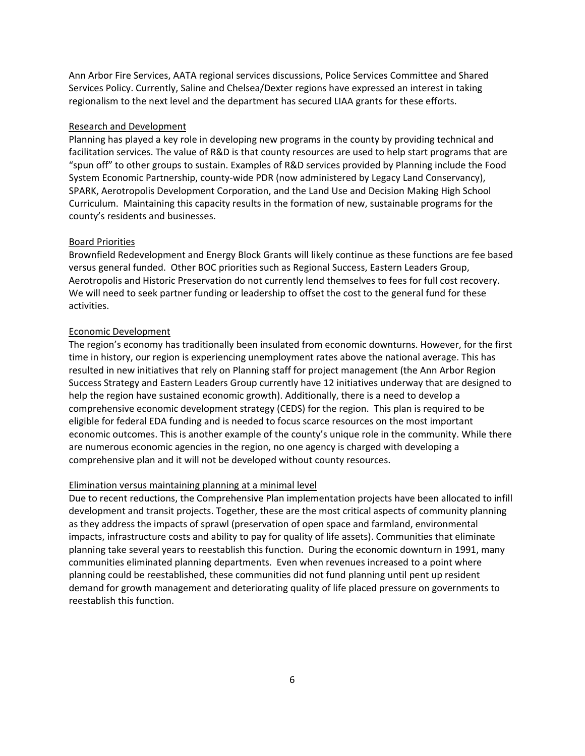Ann Arbor Fire Services, AATA regional services discussions, Police Services Committee and Shared Services Policy. Currently, Saline and Chelsea/Dexter regions have expressed an interest in taking regionalism to the next level and the department has secured LIAA grants for these efforts.

#### Research and Development

Planning has played a key role in developing new programs in the county by providing technical and facilitation services. The value of R&D is that county resources are used to help start programs that are "spun off" to other groups to sustain. Examples of R&D services provided by Planning include the Food System Economic Partnership, county‐wide PDR (now administered by Legacy Land Conservancy), SPARK, Aerotropolis Development Corporation, and the Land Use and Decision Making High School Curriculum. Maintaining this capacity results in the formation of new, sustainable programs for the county's residents and businesses.

#### Board Priorities

Brownfield Redevelopment and Energy Block Grants will likely continue as these functions are fee based versus general funded. Other BOC priorities such as Regional Success, Eastern Leaders Group, Aerotropolis and Historic Preservation do not currently lend themselves to fees for full cost recovery. We will need to seek partner funding or leadership to offset the cost to the general fund for these activities.

#### Economic Development

The region's economy has traditionally been insulated from economic downturns. However, for the first time in history, our region is experiencing unemployment rates above the national average. This has resulted in new initiatives that rely on Planning staff for project management (the Ann Arbor Region Success Strategy and Eastern Leaders Group currently have 12 initiatives underway that are designed to help the region have sustained economic growth). Additionally, there is a need to develop a comprehensive economic development strategy (CEDS) for the region. This plan is required to be eligible for federal EDA funding and is needed to focus scarce resources on the most important economic outcomes. This is another example of the county's unique role in the community. While there are numerous economic agencies in the region, no one agency is charged with developing a comprehensive plan and it will not be developed without county resources.

#### Elimination versus maintaining planning at a minimal level

Due to recent reductions, the Comprehensive Plan implementation projects have been allocated to infill development and transit projects. Together, these are the most critical aspects of community planning as they address the impacts of sprawl (preservation of open space and farmland, environmental impacts, infrastructure costs and ability to pay for quality of life assets). Communities that eliminate planning take several years to reestablish this function. During the economic downturn in 1991, many communities eliminated planning departments. Even when revenues increased to a point where planning could be reestablished, these communities did not fund planning until pent up resident demand for growth management and deteriorating quality of life placed pressure on governments to reestablish this function.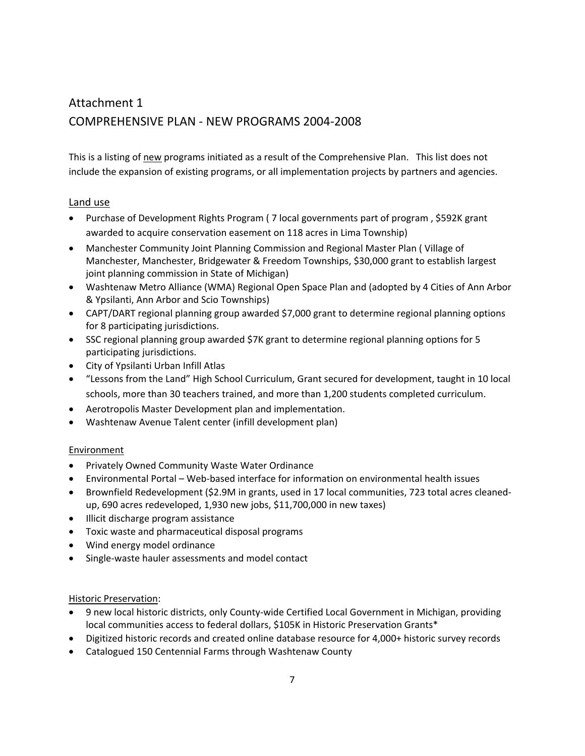# Attachment 1 COMPREHENSIVE PLAN ‐ NEW PROGRAMS 2004‐2008

This is a listing of new programs initiated as a result of the Comprehensive Plan. This list does not include the expansion of existing programs, or all implementation projects by partners and agencies.

# Land use

- Purchase of Development Rights Program ( 7 local governments part of program , \$592K grant awarded to acquire conservation easement on 118 acres in Lima Township)
- Manchester Community Joint Planning Commission and Regional Master Plan ( Village of Manchester, Manchester, Bridgewater & Freedom Townships, \$30,000 grant to establish largest joint planning commission in State of Michigan)
- Washtenaw Metro Alliance (WMA) Regional Open Space Plan and (adopted by 4 Cities of Ann Arbor & Ypsilanti, Ann Arbor and Scio Townships)
- CAPT/DART regional planning group awarded \$7,000 grant to determine regional planning options for 8 participating jurisdictions.
- SSC regional planning group awarded \$7K grant to determine regional planning options for 5 participating jurisdictions.
- City of Ypsilanti Urban Infill Atlas
- "Lessons from the Land" High School Curriculum, Grant secured for development, taught in 10 local schools, more than 30 teachers trained, and more than 1,200 students completed curriculum.
- Aerotropolis Master Development plan and implementation.
- Washtenaw Avenue Talent center (infill development plan)

## Environment

- Privately Owned Community Waste Water Ordinance
- Environmental Portal Web‐based interface for information on environmental health issues
- Brownfield Redevelopment (\$2.9M in grants, used in 17 local communities, 723 total acres cleaned‐ up, 690 acres redeveloped, 1,930 new jobs, \$11,700,000 in new taxes)
- Illicit discharge program assistance
- Toxic waste and pharmaceutical disposal programs
- Wind energy model ordinance
- Single‐waste hauler assessments and model contact

## Historic Preservation:

- 9 new local historic districts, only County‐wide Certified Local Government in Michigan, providing local communities access to federal dollars, \$105K in Historic Preservation Grants\*
- Digitized historic records and created online database resource for 4,000+ historic survey records
- Catalogued 150 Centennial Farms through Washtenaw County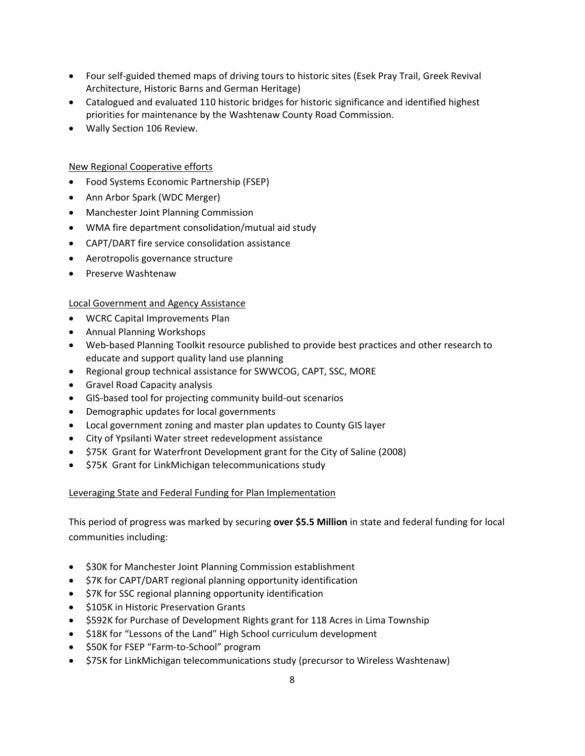- Four self‐guided themed maps of driving tours to historic sites (Esek Pray Trail, Greek Revival Architecture, Historic Barns and German Heritage)
- Catalogued and evaluated 110 historic bridges for historic significance and identified highest priorities for maintenance by the Washtenaw County Road Commission.
- Wally Section 106 Review.

#### New Regional Cooperative efforts

- Food Systems Economic Partnership (FSEP)
- Ann Arbor Spark (WDC Merger)
- Manchester Joint Planning Commission
- WMA fire department consolidation/mutual aid study
- CAPT/DART fire service consolidation assistance
- Aerotropolis governance structure
- Preserve Washtenaw

#### Local Government and Agency Assistance

- WCRC Capital Improvements Plan
- Annual Planning Workshops
- Web-based Planning Toolkit resource published to provide best practices and other research to educate and support quality land use planning
- Regional group technical assistance for SWWCOG, CAPT, SSC, MORE
- Gravel Road Capacity analysis
- GIS‐based tool for projecting community build‐out scenarios
- Demographic updates for local governments
- Local government zoning and master plan updates to County GIS layer
- City of Ypsilanti Water street redevelopment assistance
- \$75K Grant for Waterfront Development grant for the City of Saline (2008)
- \$75K Grant for LinkMichigan telecommunications study

#### Leveraging State and Federal Funding for Plan Implementation

This period of progress was marked by securing **over \$5.5 Million** in state and federal funding for local communities including:

- \$30K for Manchester Joint Planning Commission establishment
- \$7K for CAPT/DART regional planning opportunity identification
- \$7K for SSC regional planning opportunity identification
- \$105K in Historic Preservation Grants
- \$592K for Purchase of Development Rights grant for 118 Acres in Lima Township
- \$18K for "Lessons of the Land" High School curriculum development
- \$50K for FSEP "Farm‐to‐School" program
- \$75K for LinkMichigan telecommunications study (precursor to Wireless Washtenaw)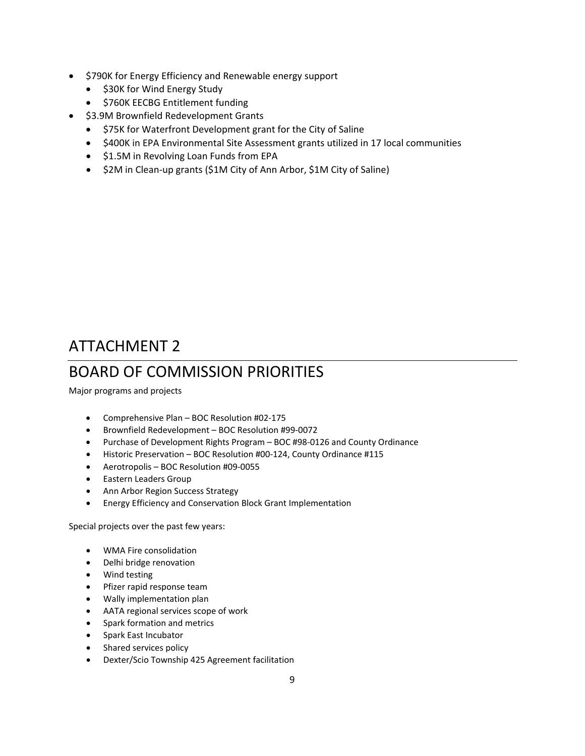- \$790K for Energy Efficiency and Renewable energy support
	- \$30K for Wind Energy Study
	- \$760K EECBG Entitlement funding
- \$3.9M Brownfield Redevelopment Grants
	- \$75K for Waterfront Development grant for the City of Saline
	- \$400K in EPA Environmental Site Assessment grants utilized in 17 local communities
	- \$1.5M in Revolving Loan Funds from EPA
	- \$2M in Clean‐up grants (\$1M City of Ann Arbor, \$1M City of Saline)

# ATTACHMENT 2

# BOARD OF COMMISSION PRIORITIES

Major programs and projects

- Comprehensive Plan BOC Resolution #02‐175
- Brownfield Redevelopment BOC Resolution #99‐0072
- Purchase of Development Rights Program BOC #98‐0126 and County Ordinance
- Historic Preservation BOC Resolution #00‐124, County Ordinance #115
- Aerotropolis BOC Resolution #09‐0055
- Eastern Leaders Group
- Ann Arbor Region Success Strategy
- Energy Efficiency and Conservation Block Grant Implementation

Special projects over the past few years:

- WMA Fire consolidation
- Delhi bridge renovation
- Wind testing
- Pfizer rapid response team
- Wally implementation plan
- AATA regional services scope of work
- Spark formation and metrics
- Spark East Incubator
- Shared services policy
- Dexter/Scio Township 425 Agreement facilitation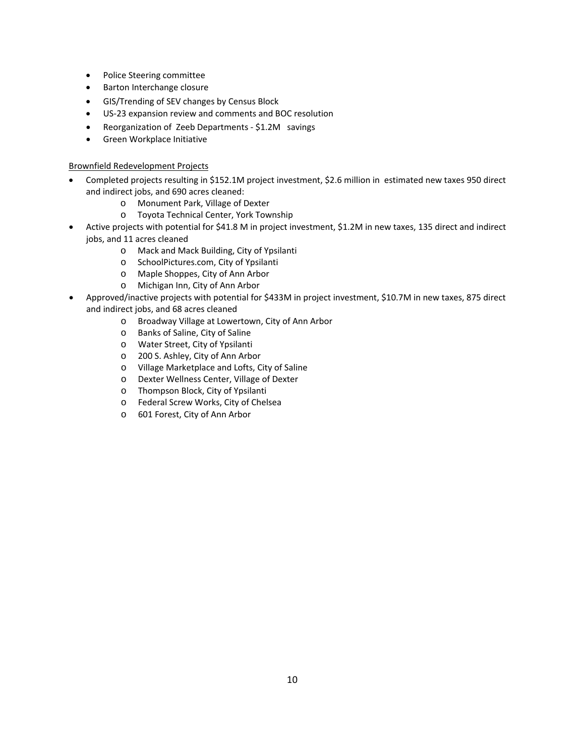- Police Steering committee
- Barton Interchange closure
- GIS/Trending of SEV changes by Census Block
- US‐23 expansion review and comments and BOC resolution
- Reorganization of Zeeb Departments \$1.2M savings
- Green Workplace Initiative

#### Brownfield Redevelopment Projects

- Completed projects resulting in \$152.1M project investment, \$2.6 million in estimated new taxes 950 direct and indirect jobs, and 690 acres cleaned:
	- o Monument Park, Village of Dexter
	- o Toyota Technical Center, York Township
- Active projects with potential for \$41.8 M in project investment, \$1.2M in new taxes, 135 direct and indirect jobs, and 11 acres cleaned
	- o Mack and Mack Building, City of Ypsilanti
	- o SchoolPictures.com, City of Ypsilanti
	- o Maple Shoppes, City of Ann Arbor
	- o Michigan Inn, City of Ann Arbor
- Approved/inactive projects with potential for \$433M in project investment, \$10.7M in new taxes, 875 direct and indirect jobs, and 68 acres cleaned
	- o Broadway Village at Lowertown, City of Ann Arbor
	- o Banks of Saline, City of Saline
	- o Water Street, City of Ypsilanti
	- o 200 S. Ashley, City of Ann Arbor
	- o Village Marketplace and Lofts, City of Saline
	- o Dexter Wellness Center, Village of Dexter
	- o Thompson Block, City of Ypsilanti
	- o Federal Screw Works, City of Chelsea
	- o 601 Forest, City of Ann Arbor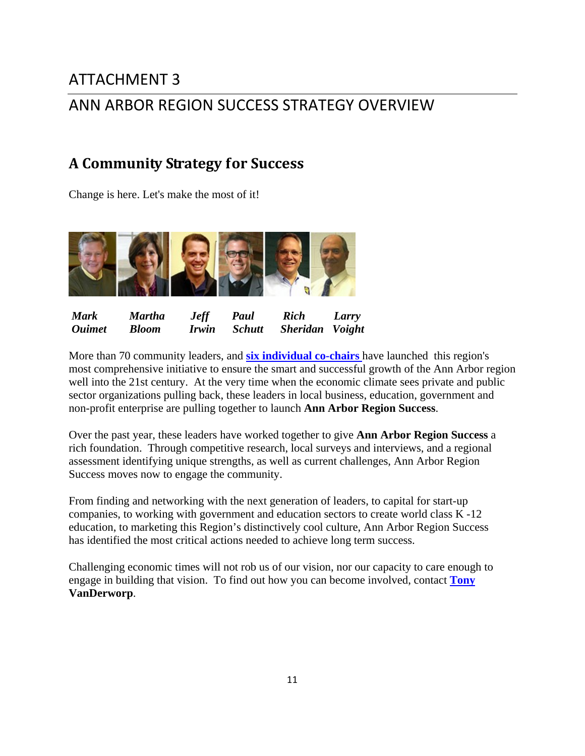# ATTACHMENT 3 ANN ARBOR REGION SUCCESS STRATEGY OVERVIEW

# **A Community Strategy for Success**

Change is here. Let's make the most of it!



| <b>Mark</b>          | Martha       | <b>Jeff</b> | Paul          | Rich            | Larry |
|----------------------|--------------|-------------|---------------|-----------------|-------|
| <i><b>Ouimet</b></i> | <b>Bloom</b> | Irwin       | <b>Schutt</b> | Sheridan Voight |       |

More than 70 community leaders, and **[six individual co-chairs](http://annarborregionsuccess.org/participants/community-success-participants)** have launched this region's most comprehensive initiative to ensure the smart and successful growth of the Ann Arbor region well into the 21st century. At the very time when the economic climate sees private and public sector organizations pulling back, these leaders in local business, education, government and non-profit enterprise are pulling together to launch **Ann Arbor Region Success**.

Over the past year, these leaders have worked together to give **Ann Arbor Region Success** a rich foundation. Through competitive research, local surveys and interviews, and a regional assessment identifying unique strengths, as well as current challenges, Ann Arbor Region Success moves now to engage the community.

From finding and networking with the next generation of leaders, to capital for start-up companies, to working with government and education sectors to create world class K -12 education, to marketing this Region's distinctively cool culture, Ann Arbor Region Success has identified the most critical actions needed to achieve long term success.

Challenging economic times will not rob us of our vision, nor our capacity to care enough to engage in building that vision. To find out how you can become involved, contact **[Tony](mailto:vanderworpa@ewashtenaw.org) VanDerworp**.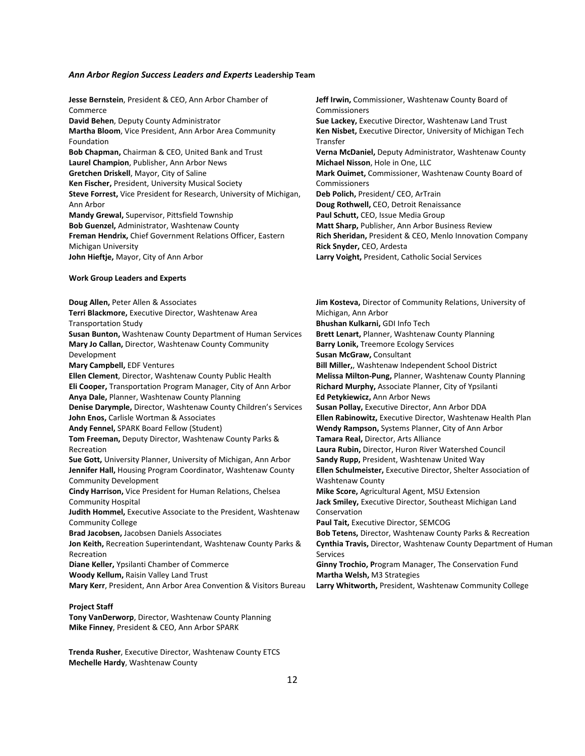#### *Ann Arbor Region Success Leaders and Experts* **Leadership Team**

| Jesse Bernstein, President & CEO, Ann Arbor Chamber of<br>Commerce  | Jeff Irwin, Commissioner, Washtenaw County Board of<br>Commissioners |
|---------------------------------------------------------------------|----------------------------------------------------------------------|
| David Behen, Deputy County Administrator                            | Sue Lackey, Executive Director, Washtenaw Land Trust                 |
| Martha Bloom, Vice President, Ann Arbor Area Community              | Ken Nisbet, Executive Director, University of Michigan Tech          |
| Foundation                                                          | Transfer                                                             |
| Bob Chapman, Chairman & CEO, United Bank and Trust                  | Verna McDaniel, Deputy Administrator, Washtenaw County               |
| Laurel Champion, Publisher, Ann Arbor News                          | Michael Nisson, Hole in One, LLC                                     |
| Gretchen Driskell, Mayor, City of Saline                            | Mark Ouimet, Commissioner, Washtenaw County Board of                 |
| Ken Fischer, President, University Musical Society                  | Commissioners                                                        |
| Steve Forrest, Vice President for Research, University of Michigan, | Deb Polich, President/ CEO, ArTrain                                  |
| Ann Arbor                                                           | Doug Rothwell, CEO, Detroit Renaissance                              |
| Mandy Grewal, Supervisor, Pittsfield Township                       | Paul Schutt, CEO, Issue Media Group                                  |
| Bob Guenzel, Administrator, Washtenaw County                        | Matt Sharp, Publisher, Ann Arbor Business Review                     |
| Freman Hendrix, Chief Government Relations Officer, Eastern         | Rich Sheridan, President & CEO, Menlo Innovation Company             |
| Michigan University                                                 | Rick Snyder, CEO, Ardesta                                            |
| John Hieftje, Mayor, City of Ann Arbor                              | Larry Voight, President, Catholic Social Services                    |
| <b>Work Group Leaders and Experts</b>                               |                                                                      |
| Doug Allen, Peter Allen & Associates                                | Jim Kosteva, Director of Community Relations, University of          |
| Terri Blackmore, Executive Director, Washtenaw Area                 | Michigan, Ann Arbor                                                  |
| <b>Transportation Study</b>                                         | Bhushan Kulkarni, GDI Info Tech                                      |
| Susan Bunton, Washtenaw County Department of Human Services         | Brett Lenart, Planner, Washtenaw County Planning                     |
| Mary Jo Callan, Director, Washtenaw County Community                | Barry Lonik, Treemore Ecology Services                               |
| Development                                                         | Susan McGraw, Consultant                                             |
| Mary Campbell, EDF Ventures                                         | Bill Miller,, Washtenaw Independent School District                  |
| Ellen Clement, Director, Washtenaw County Public Health             | Melissa Milton-Pung, Planner, Washtenaw County Planning              |
| Eli Cooper, Transportation Program Manager, City of Ann Arbor       | Richard Murphy, Associate Planner, City of Ypsilanti                 |
| Anya Dale, Planner, Washtenaw County Planning                       | Ed Petykiewicz, Ann Arbor News                                       |
| Denise Darymple, Director, Washtenaw County Children's Services     | Susan Pollay, Executive Director, Ann Arbor DDA                      |
| John Enos, Carlisle Wortman & Associates                            | Ellen Rabinowitz, Executive Director, Washtenaw Health Plan          |
| Andy Fennel, SPARK Board Fellow (Student)                           | Wendy Rampson, Systems Planner, City of Ann Arbor                    |
| Tom Freeman, Deputy Director, Washtenaw County Parks &              | Tamara Real, Director, Arts Alliance                                 |
| Recreation                                                          | Laura Rubin, Director, Huron River Watershed Council                 |
| Sue Gott, University Planner, University of Michigan, Ann Arbor     | Sandy Rupp, President, Washtenaw United Way                          |
| Jennifer Hall, Housing Program Coordinator, Washtenaw County        | Ellen Schulmeister, Executive Director, Shelter Association of       |
| <b>Community Development</b>                                        | <b>Washtenaw County</b>                                              |
| Cindy Harrison, Vice President for Human Relations, Chelsea         | Mike Score, Agricultural Agent, MSU Extension                        |
| <b>Community Hospital</b>                                           | Jack Smiley, Executive Director, Southeast Michigan Land             |
| Judith Hommel, Executive Associate to the President, Washtenaw      | Conservation                                                         |

**Judith Hommel,** Executive Associate to the President, Washtenaw Community College

**Brad Jacobsen,** Jacobsen Daniels Associates **Jon Keith,** Recreation Superintendant, Washtenaw County Parks & Recreation **Diane Keller,** Ypsilanti Chamber of Commerce

**Woody Kellum,** Raisin Valley Land Trust

**Mary Kerr**, President, Ann Arbor Area Convention & Visitors Bureau

#### **Project Staff**

**Tony VanDerworp**, Director, Washtenaw County Planning **Mike Finney**, President & CEO, Ann Arbor SPARK

**Trenda Rusher**, Executive Director, Washtenaw County ETCS **Mechelle Hardy**, Washtenaw County

**Paul Tait,** Executive Director, SEMCOG **Bob Tetens,** Director, Washtenaw County Parks & Recreation **Cynthia Travis,** Director, Washtenaw County Department of Human Services

**Ginny Trochio, P**rogram Manager, The Conservation Fund **Martha Welsh,** M3 Strategies **Larry Whitworth,** President, Washtenaw Community College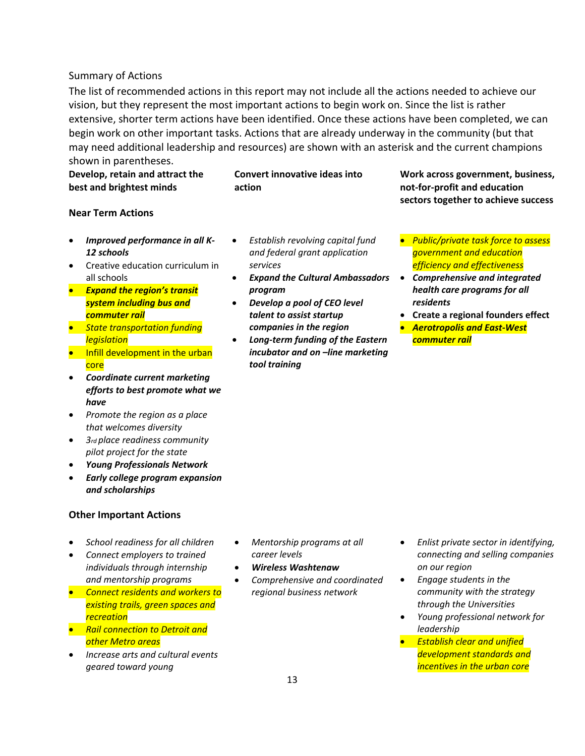#### Summary of Actions

The list of recommended actions in this report may not include all the actions needed to achieve our vision, but they represent the most important actions to begin work on. Since the list is rather extensive, shorter term actions have been identified. Once these actions have been completed, we can begin work on other important tasks. Actions that are already underway in the community (but that may need additional leadership and resources) are shown with an asterisk and the current champions shown in parentheses.

**Develop, retain and attract the best and brightest minds**

**Convert innovative ideas into action**

**Work across government, business, not‐for‐profit and education sectors together to achieve success**

#### **Near Term Actions**

- *Improved performance in all K‐ 12 schools*
- Creative education curriculum in all schools
- *Expand the region's transit system including bus and commuter rail*
- *State transportation funding legislation*
- Infill development in the urban core
- *Coordinate current marketing efforts to best promote what we have*
- *Promote the region as a place that welcomes diversity*
- *3rd place readiness community pilot project for the state*
- *Young Professionals Network*
- *Early college program expansion and scholarships*

#### **Other Important Actions**

- *School readiness for all children*
- *Connect employers to trained individuals through internship and mentorship programs*
- *Connect residents and workers to existing trails, green spaces and recreation*
- *Rail connection to Detroit and other Metro areas*
- *Increase arts and cultural events geared toward young*
- *Establish revolving capital fund and federal grant application services*
- *Expand the Cultural Ambassadors program*
- *Develop a pool of CEO level talent to assist startup companies in the region*
- *Long‐term funding of the Eastern incubator and on –line marketing tool training*
- *Public/private task force to assess government and education efficiency and effectiveness*
- *Comprehensive and integrated health care programs for all residents*
- **Create a regional founders effect**
- *Aerotropolis and East‐West commuter rail*

- *Mentorship programs at all career levels*
- *Wireless Washtenaw*
- *Comprehensive and coordinated regional business network*
- *Enlist private sector in identifying, connecting and selling companies on our region*
- *Engage students in the community with the strategy through the Universities*
- *Young professional network for leadership*
- *Establish clear and unified development standards and incentives in the urban core*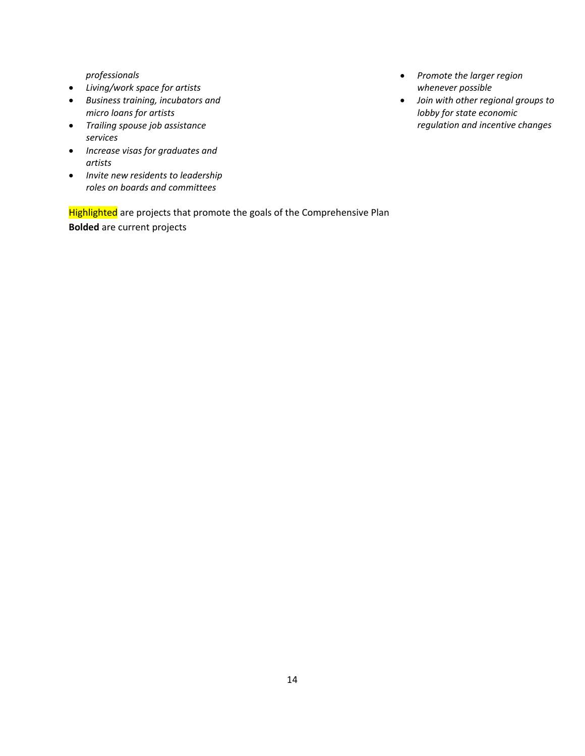*professionals* 

- *Living/work space for artists*
- *Business training, incubators and micro loans for artists*
- *Trailing spouse job assistance services*
- *Increase visas for graduates and artists*
- *Invite new residents to leadership roles on boards and committees*

Highlighted are projects that promote the goals of the Comprehensive Plan **Bolded** are current projects

- *Promote the larger region whenever possible*
- *Join with other regional groups to lobby for state economic regulation and incentive changes*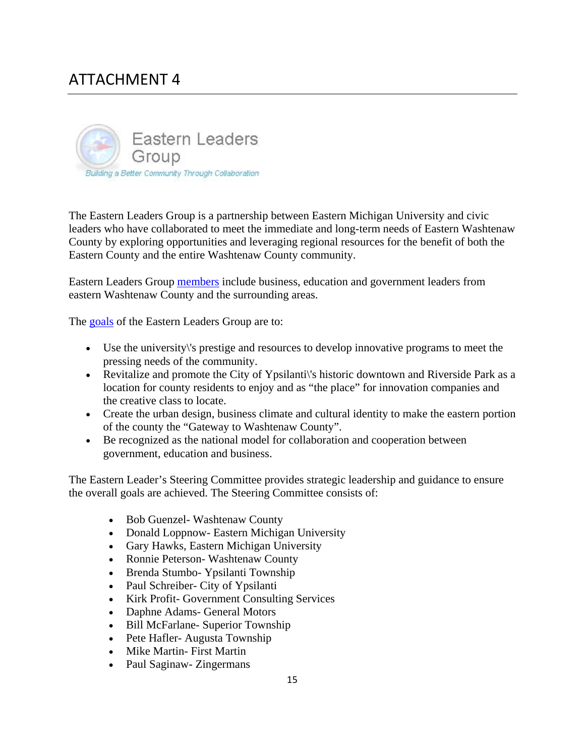# ATTACHMENT 4



The Eastern Leaders Group is a partnership between Eastern Michigan University and civic leaders who have collaborated to meet the immediate and long-term needs of Eastern Washtenaw County by exploring opportunities and leveraging regional resources for the benefit of both the Eastern County and the entire Washtenaw County community.

Eastern Leaders Group [members](http://elg.ewashtenaw.org/partners/index_html) include business, education and government leaders from eastern Washtenaw County and the surrounding areas.

The [goals](http://elg.ewashtenaw.org/goals/index_html) of the Eastern Leaders Group are to:

- Use the university\'s prestige and resources to develop innovative programs to meet the pressing needs of the community.
- Revitalize and promote the City of Ypsilanti's historic downtown and Riverside Park as a location for county residents to enjoy and as "the place" for innovation companies and the creative class to locate.
- Create the urban design, business climate and cultural identity to make the eastern portion of the county the "Gateway to Washtenaw County".
- Be recognized as the national model for collaboration and cooperation between government, education and business.

The Eastern Leader's Steering Committee provides strategic leadership and guidance to ensure the overall goals are achieved. The Steering Committee consists of:

- Bob Guenzel- Washtenaw County
- Donald Loppnow- Eastern Michigan University
- Gary Hawks, Eastern Michigan University
- Ronnie Peterson- Washtenaw County
- Brenda Stumbo- Ypsilanti Township
- Paul Schreiber- City of Ypsilanti
- Kirk Profit- Government Consulting Services
- Daphne Adams- General Motors
- Bill McFarlane- Superior Township
- Pete Hafler-Augusta Township
- Mike Martin- First Martin
- Paul Saginaw- Zingermans